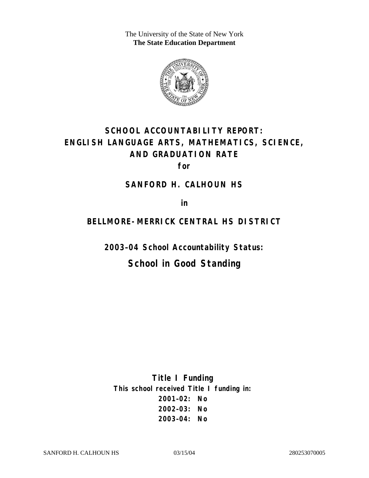The University of the State of New York **The State Education Department** 



# **SCHOOL ACCOUNTABILITY REPORT: ENGLISH LANGUAGE ARTS, MATHEMATICS, SCIENCE, AND GRADUATION RATE**

**for** 

### **SANFORD H. CALHOUN HS**

**in** 

### **BELLMORE-MERRICK CENTRAL HS DISTRICT**

**2003–04 School Accountability Status:** 

# **School in Good Standing**

**Title I Funding This school received Title I funding in: 2001–02: No 2002–03: No 2003–04: No**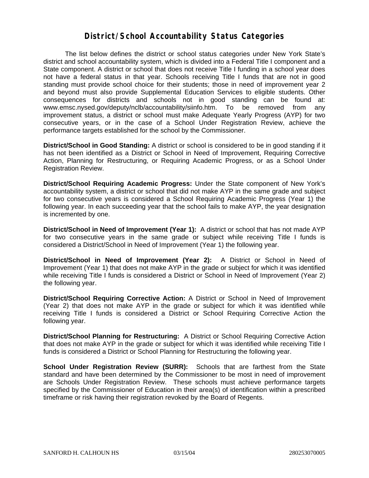### **District/School Accountability Status Categories**

The list below defines the district or school status categories under New York State's district and school accountability system, which is divided into a Federal Title I component and a State component. A district or school that does not receive Title I funding in a school year does not have a federal status in that year. Schools receiving Title I funds that are not in good standing must provide school choice for their students; those in need of improvement year 2 and beyond must also provide Supplemental Education Services to eligible students. Other consequences for districts and schools not in good standing can be found at: www.emsc.nysed.gov/deputy/nclb/accountability/siinfo.htm. To be removed from any improvement status, a district or school must make Adequate Yearly Progress (AYP) for two consecutive years, or in the case of a School Under Registration Review, achieve the performance targets established for the school by the Commissioner.

**District/School in Good Standing:** A district or school is considered to be in good standing if it has not been identified as a District or School in Need of Improvement, Requiring Corrective Action, Planning for Restructuring, or Requiring Academic Progress, or as a School Under Registration Review.

**District/School Requiring Academic Progress:** Under the State component of New York's accountability system, a district or school that did not make AYP in the same grade and subject for two consecutive years is considered a School Requiring Academic Progress (Year 1) the following year. In each succeeding year that the school fails to make AYP, the year designation is incremented by one.

**District/School in Need of Improvement (Year 1):** A district or school that has not made AYP for two consecutive years in the same grade or subject while receiving Title I funds is considered a District/School in Need of Improvement (Year 1) the following year.

**District/School in Need of Improvement (Year 2):** A District or School in Need of Improvement (Year 1) that does not make AYP in the grade or subject for which it was identified while receiving Title I funds is considered a District or School in Need of Improvement (Year 2) the following year.

**District/School Requiring Corrective Action:** A District or School in Need of Improvement (Year 2) that does not make AYP in the grade or subject for which it was identified while receiving Title I funds is considered a District or School Requiring Corrective Action the following year.

**District/School Planning for Restructuring:** A District or School Requiring Corrective Action that does not make AYP in the grade or subject for which it was identified while receiving Title I funds is considered a District or School Planning for Restructuring the following year.

**School Under Registration Review (SURR):** Schools that are farthest from the State standard and have been determined by the Commissioner to be most in need of improvement are Schools Under Registration Review. These schools must achieve performance targets specified by the Commissioner of Education in their area(s) of identification within a prescribed timeframe or risk having their registration revoked by the Board of Regents.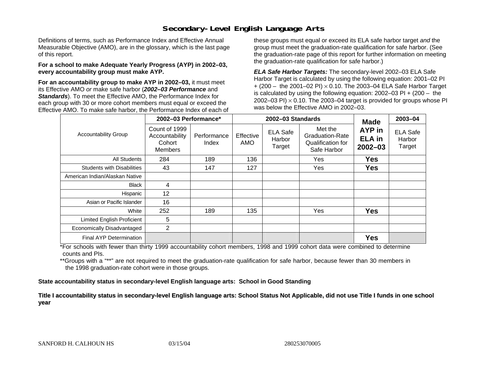# **Secondary-Level English Language Arts**

Definitions of terms, such as Performance Index and Effective Annual Measurable Objective (AMO), are in the glossary, which is the last page of this report.

#### **For a school to make Adequate Yearly Progress (AYP) in 2002–03, every accountability group must make AYP.**

**For an accountability group to make AYP in 2002–03,** it must meet its Effective AMO *or* make safe harbor (*2002–03 Performance* and *Standards*). To meet the Effective AMO, the Performance Index for each group with 30 or more cohort members must equal or exceed the Effective AMO. To make safe harbor, the Performance Index of each of these groups must equal or exceed its ELA safe harbor target *and* the group must meet the graduation-rate qualification for safe harbor. (See the graduation-rate page of this report for further information on meeting the graduation-rate qualification for safe harbor.)

*ELA Safe Harbor Targets:* The secondary-level 2002–03 ELA Safe Harbor Target is calculated by using the following equation: 2001–02 PI + (200 – the 2001–02 PI) <sup>×</sup> 0.10. The 2003–04 ELA Safe Harbor Target is calculated by using the following equation: 2002–03 PI + (200 – the 2002–03 PI)  $\times$  0.10. The 2003–04 target is provided for groups whose PI was below the Effective AMO in 2002–03.

| <b>Accountability Group</b>       | 2002-03 Performance*                                        |                      |                  | 2002-03 Standards                   | <b>Made</b>                                                           | 2003-04                                |                                     |
|-----------------------------------|-------------------------------------------------------------|----------------------|------------------|-------------------------------------|-----------------------------------------------------------------------|----------------------------------------|-------------------------------------|
|                                   | Count of 1999<br>Accountability<br>Cohort<br><b>Members</b> | Performance<br>Index | Effective<br>AMO | <b>ELA Safe</b><br>Harbor<br>Target | Met the<br><b>Graduation-Rate</b><br>Qualification for<br>Safe Harbor | AYP in<br><b>ELA</b> in<br>$2002 - 03$ | <b>ELA Safe</b><br>Harbor<br>Target |
| All Students                      | 284                                                         | 189                  | 136              |                                     | Yes                                                                   | <b>Yes</b>                             |                                     |
| <b>Students with Disabilities</b> | 43                                                          | 147                  | 127              |                                     | Yes                                                                   | <b>Yes</b>                             |                                     |
| American Indian/Alaskan Native    |                                                             |                      |                  |                                     |                                                                       |                                        |                                     |
| <b>Black</b>                      | 4                                                           |                      |                  |                                     |                                                                       |                                        |                                     |
| Hispanic                          | 12                                                          |                      |                  |                                     |                                                                       |                                        |                                     |
| Asian or Pacific Islander         | 16                                                          |                      |                  |                                     |                                                                       |                                        |                                     |
| White                             | 252                                                         | 189                  | 135              |                                     | Yes                                                                   | <b>Yes</b>                             |                                     |
| Limited English Proficient        | 5                                                           |                      |                  |                                     |                                                                       |                                        |                                     |
| Economically Disadvantaged        | 2                                                           |                      |                  |                                     |                                                                       |                                        |                                     |
| <b>Final AYP Determination</b>    |                                                             |                      |                  |                                     |                                                                       | <b>Yes</b>                             |                                     |

\*For schools with fewer than thirty 1999 accountability cohort members, 1998 and 1999 cohort data were combined to determine counts and PIs.

\*\*Groups with a "\*\*" are not required to meet the graduation-rate qualification for safe harbor, because fewer than 30 members in the 1998 graduation-rate cohort were in those groups.

**State accountability status in secondary-level English language arts: School in Good Standing** 

Title I accountability status in secondary-level English language arts: School Status Not Applicable, did not use Title I funds in one school **y ear**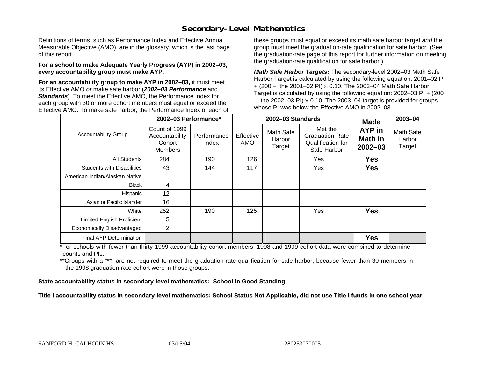# **Secondary-Level Mathematics**

Definitions of terms, such as Performance Index and Effective Annual Measurable Objective (AMO), are in the glossary, which is the last page of this report.

#### **For a school to make Adequate Yearly Progress (AYP) in 2002–03, every accountability group must make AYP.**

**For an accountability group to make AYP in 2002–03,** it must meet its Effective AMO *or* make safe harbor (*2002–03 Performance* and *Standards*). To meet the Effective AMO, the Performance Index for each group with 30 or more cohort members must equal or exceed the Effective AMO. To make safe harbor, the Performance Index of each of these groups must equal or exceed its math safe harbor target *and* the group must meet the graduation-rate qualification for safe harbor. (See the graduation-rate page of this report for further information on meeting the graduation-rate qualification for safe harbor.)

*Math Safe Harbor Targets:* The secondary-level 2002–03 Math Safe Harbor Target is calculated by using the following equation: 2001–02 PI + (200 – the 2001–02 PI) × 0.10. The 2003–04 Math Safe Harbor Target is calculated by using the following equation: 2002–03 PI + (200  $-$  the 2002–03 PI)  $\times$  0.10. The 2003–04 target is provided for groups whose PI was below the Effective AMO in 2002–03.

| <b>Accountability Group</b>       | 2002-03 Performance*                                        |                      |                  | 2002-03 Standards             | <b>Made</b>                                                           | 2003-04                                 |                               |
|-----------------------------------|-------------------------------------------------------------|----------------------|------------------|-------------------------------|-----------------------------------------------------------------------|-----------------------------------------|-------------------------------|
|                                   | Count of 1999<br>Accountability<br>Cohort<br><b>Members</b> | Performance<br>Index | Effective<br>AMO | Math Safe<br>Harbor<br>Target | Met the<br><b>Graduation-Rate</b><br>Qualification for<br>Safe Harbor | AYP in<br><b>Math in</b><br>$2002 - 03$ | Math Safe<br>Harbor<br>Target |
| <b>All Students</b>               | 284                                                         | 190                  | 126              |                               | Yes                                                                   | <b>Yes</b>                              |                               |
| <b>Students with Disabilities</b> | 43                                                          | 144                  | 117              |                               | Yes                                                                   | <b>Yes</b>                              |                               |
| American Indian/Alaskan Native    |                                                             |                      |                  |                               |                                                                       |                                         |                               |
| <b>Black</b>                      | 4                                                           |                      |                  |                               |                                                                       |                                         |                               |
| Hispanic                          | 12                                                          |                      |                  |                               |                                                                       |                                         |                               |
| Asian or Pacific Islander         | 16                                                          |                      |                  |                               |                                                                       |                                         |                               |
| White                             | 252                                                         | 190                  | 125              |                               | Yes                                                                   | <b>Yes</b>                              |                               |
| Limited English Proficient        | 5                                                           |                      |                  |                               |                                                                       |                                         |                               |
| Economically Disadvantaged        | $\overline{2}$                                              |                      |                  |                               |                                                                       |                                         |                               |
| Final AYP Determination           |                                                             |                      |                  |                               |                                                                       | <b>Yes</b>                              |                               |

\*For schools with fewer than thirty 1999 accountability cohort members, 1998 and 1999 cohort data were combined to determine counts and PIs.

\*\*Groups with a "\*\*" are not required to meet the graduation-rate qualification for safe harbor, because fewer than 30 members in the 1998 graduation-rate cohort were in those groups.

**State accountability status in secondary-level mathematics: School in Good Standing** 

Title I accountability status in secondary-level mathematics: School Status Not Applicable, did not use Title I funds in one school year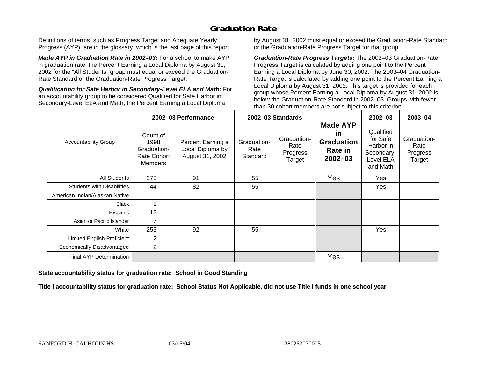# **Graduation Rate**

Definitions of terms, such as Progress Target and Adequate Yearly Progress (AYP), are in the glossary, which is the last page of this report.

*Made AYP in Graduation Rate in 2002–03:* For a school to make AYP in graduation rate, the Percent Earning a Local Diploma by August 31, 2002 for the "All Students" group must equal or exceed the Graduation-Rate Standard or the Graduation-Rate Progress Target.

*Qualification for Safe Harbor in Secondary-Level ELA and Math:* For an accountability group to be considered Qualified for Safe Harbor in Secondary-Level ELA and Math, the Percent Earning a Local Diploma

by August 31, 2002 must equal or exceed the Graduation-Rate Standard or the Graduation-Rate Progress Target for that group.

*Graduation-Rate Progress Targets:* The 2002–03 Graduation-Rate Progress Target is calculated by adding one point to the Percent Earning a Local Diploma by June 30, 2002. The 2003–04 Graduation-Rate Target is calculated by adding one point to the Percent Earning a Local Diploma by August 31, 2002. This target is provided for each group whose Percent Earning a Local Diploma by August 31, 2002 is below the Graduation-Rate Standard in 2002–03. Groups with fewer than 30 cohort members are not subject to this criterion.

|                                   | 2002-03 Performance                                              |                                                          | 2002-03 Standards               |                                           |                                                                                    | 2002-03                                                                   | 2003-04                                   |
|-----------------------------------|------------------------------------------------------------------|----------------------------------------------------------|---------------------------------|-------------------------------------------|------------------------------------------------------------------------------------|---------------------------------------------------------------------------|-------------------------------------------|
| <b>Accountability Group</b>       | Count of<br>1998<br>Graduation-<br>Rate Cohort<br><b>Members</b> | Percent Earning a<br>Local Diploma by<br>August 31, 2002 | Graduation-<br>Rate<br>Standard | Graduation-<br>Rate<br>Progress<br>Target | <b>Made AYP</b><br><u>in</u><br><b>Graduation</b><br><b>Rate in</b><br>$2002 - 03$ | Qualified<br>for Safe<br>Harbor in<br>Secondary-<br>Level ELA<br>and Math | Graduation-<br>Rate<br>Progress<br>Target |
| All Students                      | 273                                                              | 91                                                       | 55                              |                                           | Yes                                                                                | Yes                                                                       |                                           |
| <b>Students with Disabilities</b> | 44                                                               | 82                                                       | 55                              |                                           |                                                                                    | Yes                                                                       |                                           |
| American Indian/Alaskan Native    |                                                                  |                                                          |                                 |                                           |                                                                                    |                                                                           |                                           |
| <b>Black</b>                      |                                                                  |                                                          |                                 |                                           |                                                                                    |                                                                           |                                           |
| Hispanic                          | 12                                                               |                                                          |                                 |                                           |                                                                                    |                                                                           |                                           |
| Asian or Pacific Islander         | $\overline{7}$                                                   |                                                          |                                 |                                           |                                                                                    |                                                                           |                                           |
| White                             | 253                                                              | 92                                                       | 55                              |                                           |                                                                                    | Yes                                                                       |                                           |
| Limited English Proficient        | $\overline{2}$                                                   |                                                          |                                 |                                           |                                                                                    |                                                                           |                                           |
| Economically Disadvantaged        | $\overline{2}$                                                   |                                                          |                                 |                                           |                                                                                    |                                                                           |                                           |
| <b>Final AYP Determination</b>    |                                                                  |                                                          |                                 |                                           | Yes                                                                                |                                                                           |                                           |

**State accountability status for graduation rate: School in Good Standing** 

Title I accountability status for graduation rate: School Status Not Applicable, did not use Title I funds in one school year